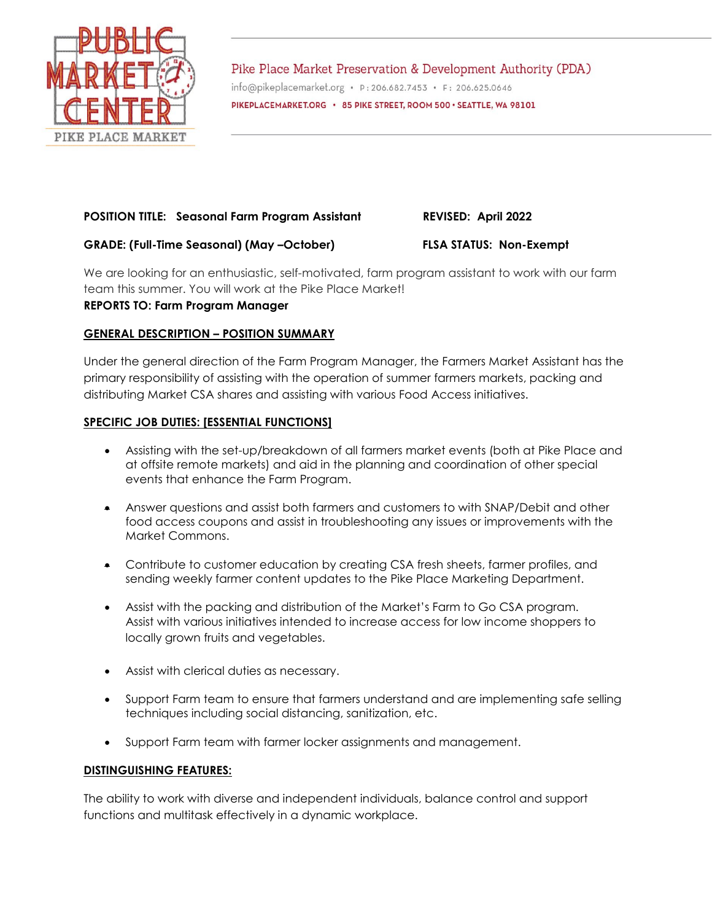

Pike Place Market Preservation & Development Authority (PDA) info@pikeplacemarket.org · P: 206.682.7453 · F: 206.625.0646 PIKEPLACEMARKET.ORG . 85 PIKE STREET, ROOM 500 · SEATTLE, WA 98101

# **POSITION TITLE: Seasonal Farm Program Assistant REVISED: April 2022**

# **GRADE: (Full-Time Seasonal) (May –October) FLSA STATUS: Non-Exempt**

We are looking for an enthusiastic, self-motivated, farm program assistant to work with our farm team this summer. You will work at the Pike Place Market!

# **REPORTS TO: Farm Program Manager**

# **GENERAL DESCRIPTION – POSITION SUMMARY**

Under the general direction of the Farm Program Manager, the Farmers Market Assistant has the primary responsibility of assisting with the operation of summer farmers markets, packing and distributing Market CSA shares and assisting with various Food Access initiatives.

# **SPECIFIC JOB DUTIES: [ESSENTIAL FUNCTIONS]**

- Assisting with the set-up/breakdown of all farmers market events (both at Pike Place and at offsite remote markets) and aid in the planning and coordination of other special events that enhance the Farm Program.
- Answer questions and assist both farmers and customers to with SNAP/Debit and other food access coupons and assist in troubleshooting any issues or improvements with the Market Commons.
- Contribute to customer education by creating CSA fresh sheets, farmer profiles, and sending weekly farmer content updates to the Pike Place Marketing Department.
- Assist with the packing and distribution of the Market's Farm to Go CSA program. Assist with various initiatives intended to increase access for low income shoppers to locally grown fruits and vegetables.
- Assist with clerical duties as necessary.
- Support Farm team to ensure that farmers understand and are implementing safe selling techniques including social distancing, sanitization, etc.
- Support Farm team with farmer locker assignments and management.

## **DISTINGUISHING FEATURES:**

The ability to work with diverse and independent individuals, balance control and support functions and multitask effectively in a dynamic workplace.